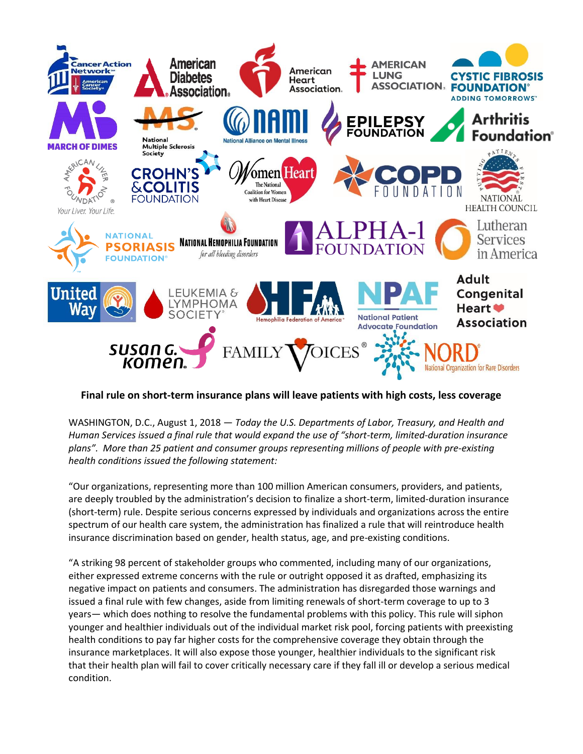

## **Final rule on short-term insurance plans will leave patients with high costs, less coverage**

WASHINGTON, D.C., August 1, 2018 — *Today the U.S. Departments of Labor, Treasury, and Health and Human Services issued a final rule that would expand the use of "short-term, limited-duration insurance plans". More than 25 patient and consumer groups representing millions of people with pre-existing health conditions issued the following statement:*

"Our organizations, representing more than 100 million American consumers, providers, and patients, are deeply troubled by the administration's decision to finalize a short-term, limited-duration insurance (short-term) rule. Despite serious concerns expressed by individuals and organizations across the entire spectrum of our health care system, the administration has finalized a rule that will reintroduce health insurance discrimination based on gender, health status, age, and pre-existing conditions.

"A striking 98 percent of stakeholder groups who commented, including many of our organizations, either expressed extreme concerns with the rule or outright opposed it as drafted, emphasizing its negative impact on patients and consumers. The administration has disregarded those warnings and issued a final rule with few changes, aside from limiting renewals of short-term coverage to up to 3 years— which does nothing to resolve the fundamental problems with this policy. This rule will siphon younger and healthier individuals out of the individual market risk pool, forcing patients with preexisting health conditions to pay far higher costs for the comprehensive coverage they obtain through the insurance marketplaces. It will also expose those younger, healthier individuals to the significant risk that their health plan will fail to cover critically necessary care if they fall ill or develop a serious medical condition.